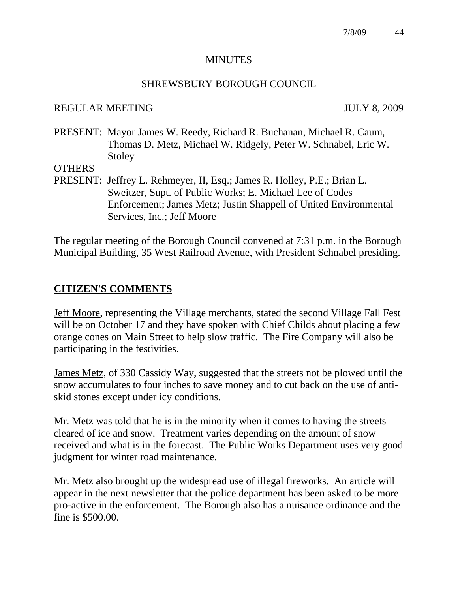#### **MINUTES**

#### SHREWSBURY BOROUGH COUNCIL

#### REGULAR MEETING JULY 8, 2009

PRESENT: Mayor James W. Reedy, Richard R. Buchanan, Michael R. Caum, Thomas D. Metz, Michael W. Ridgely, Peter W. Schnabel, Eric W. Stoley

**OTHERS** 

PRESENT: Jeffrey L. Rehmeyer, II, Esq.; James R. Holley, P.E.; Brian L. Sweitzer, Supt. of Public Works; E. Michael Lee of Codes Enforcement; James Metz; Justin Shappell of United Environmental Services, Inc.; Jeff Moore

The regular meeting of the Borough Council convened at 7:31 p.m. in the Borough Municipal Building, 35 West Railroad Avenue, with President Schnabel presiding.

### **CITIZEN'S COMMENTS**

Jeff Moore, representing the Village merchants, stated the second Village Fall Fest will be on October 17 and they have spoken with Chief Childs about placing a few orange cones on Main Street to help slow traffic. The Fire Company will also be participating in the festivities.

James Metz, of 330 Cassidy Way, suggested that the streets not be plowed until the snow accumulates to four inches to save money and to cut back on the use of antiskid stones except under icy conditions.

Mr. Metz was told that he is in the minority when it comes to having the streets cleared of ice and snow. Treatment varies depending on the amount of snow received and what is in the forecast. The Public Works Department uses very good judgment for winter road maintenance.

Mr. Metz also brought up the widespread use of illegal fireworks. An article will appear in the next newsletter that the police department has been asked to be more pro-active in the enforcement. The Borough also has a nuisance ordinance and the fine is \$500.00.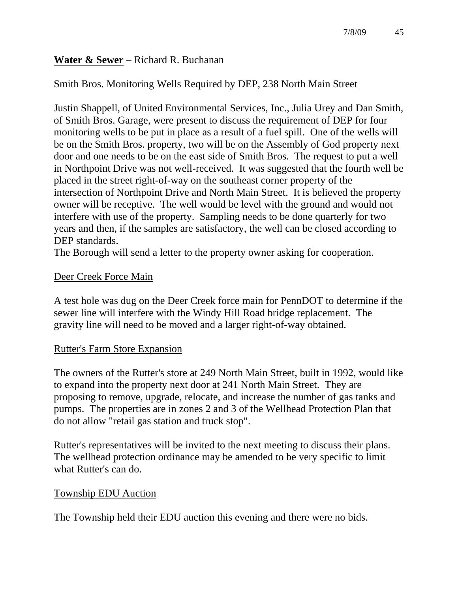# **Water & Sewer** – Richard R. Buchanan

# Smith Bros. Monitoring Wells Required by DEP, 238 North Main Street

Justin Shappell, of United Environmental Services, Inc., Julia Urey and Dan Smith, of Smith Bros. Garage, were present to discuss the requirement of DEP for four monitoring wells to be put in place as a result of a fuel spill. One of the wells will be on the Smith Bros. property, two will be on the Assembly of God property next door and one needs to be on the east side of Smith Bros. The request to put a well in Northpoint Drive was not well-received. It was suggested that the fourth well be placed in the street right-of-way on the southeast corner property of the intersection of Northpoint Drive and North Main Street. It is believed the property owner will be receptive. The well would be level with the ground and would not interfere with use of the property. Sampling needs to be done quarterly for two years and then, if the samples are satisfactory, the well can be closed according to DEP standards.

The Borough will send a letter to the property owner asking for cooperation.

### Deer Creek Force Main

A test hole was dug on the Deer Creek force main for PennDOT to determine if the sewer line will interfere with the Windy Hill Road bridge replacement. The gravity line will need to be moved and a larger right-of-way obtained.

# Rutter's Farm Store Expansion

The owners of the Rutter's store at 249 North Main Street, built in 1992, would like to expand into the property next door at 241 North Main Street. They are proposing to remove, upgrade, relocate, and increase the number of gas tanks and pumps. The properties are in zones 2 and 3 of the Wellhead Protection Plan that do not allow "retail gas station and truck stop".

Rutter's representatives will be invited to the next meeting to discuss their plans. The wellhead protection ordinance may be amended to be very specific to limit what Rutter's can do.

### Township EDU Auction

The Township held their EDU auction this evening and there were no bids.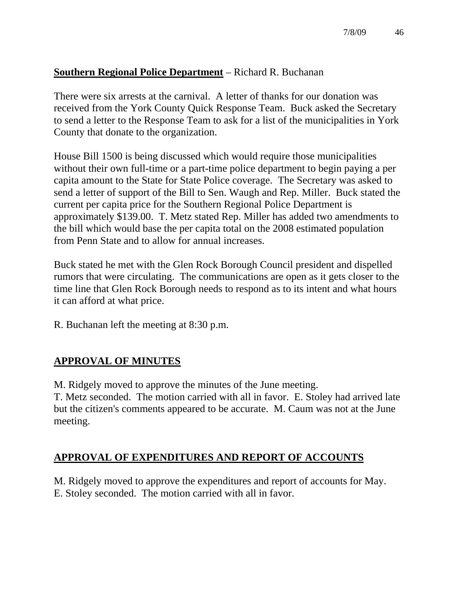# **Southern Regional Police Department** – Richard R. Buchanan

There were six arrests at the carnival. A letter of thanks for our donation was received from the York County Quick Response Team. Buck asked the Secretary to send a letter to the Response Team to ask for a list of the municipalities in York County that donate to the organization.

House Bill 1500 is being discussed which would require those municipalities without their own full-time or a part-time police department to begin paying a per capita amount to the State for State Police coverage. The Secretary was asked to send a letter of support of the Bill to Sen. Waugh and Rep. Miller. Buck stated the current per capita price for the Southern Regional Police Department is approximately \$139.00. T. Metz stated Rep. Miller has added two amendments to the bill which would base the per capita total on the 2008 estimated population from Penn State and to allow for annual increases.

Buck stated he met with the Glen Rock Borough Council president and dispelled rumors that were circulating. The communications are open as it gets closer to the time line that Glen Rock Borough needs to respond as to its intent and what hours it can afford at what price.

R. Buchanan left the meeting at 8:30 p.m.

# **APPROVAL OF MINUTES**

M. Ridgely moved to approve the minutes of the June meeting.

T. Metz seconded. The motion carried with all in favor. E. Stoley had arrived late but the citizen's comments appeared to be accurate. M. Caum was not at the June meeting.

# **APPROVAL OF EXPENDITURES AND REPORT OF ACCOUNTS**

M. Ridgely moved to approve the expenditures and report of accounts for May. E. Stoley seconded. The motion carried with all in favor.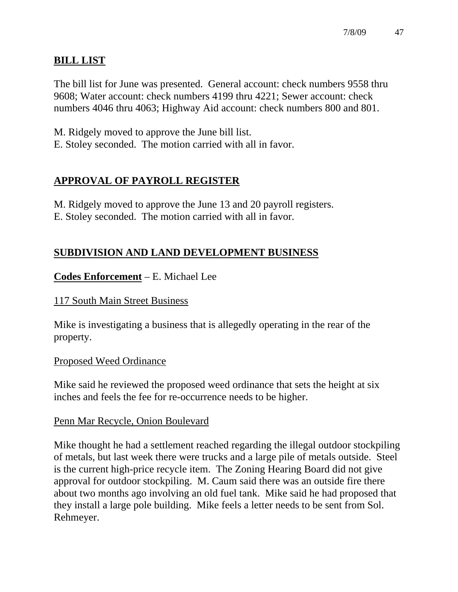# **BILL LIST**

The bill list for June was presented. General account: check numbers 9558 thru 9608; Water account: check numbers 4199 thru 4221; Sewer account: check numbers 4046 thru 4063; Highway Aid account: check numbers 800 and 801.

M. Ridgely moved to approve the June bill list.

E. Stoley seconded. The motion carried with all in favor.

# **APPROVAL OF PAYROLL REGISTER**

M. Ridgely moved to approve the June 13 and 20 payroll registers. E. Stoley seconded. The motion carried with all in favor.

# **SUBDIVISION AND LAND DEVELOPMENT BUSINESS**

# **Codes Enforcement** – E. Michael Lee

### 117 South Main Street Business

Mike is investigating a business that is allegedly operating in the rear of the property.

### Proposed Weed Ordinance

Mike said he reviewed the proposed weed ordinance that sets the height at six inches and feels the fee for re-occurrence needs to be higher.

### Penn Mar Recycle, Onion Boulevard

Mike thought he had a settlement reached regarding the illegal outdoor stockpiling of metals, but last week there were trucks and a large pile of metals outside. Steel is the current high-price recycle item. The Zoning Hearing Board did not give approval for outdoor stockpiling. M. Caum said there was an outside fire there about two months ago involving an old fuel tank. Mike said he had proposed that they install a large pole building. Mike feels a letter needs to be sent from Sol. Rehmeyer.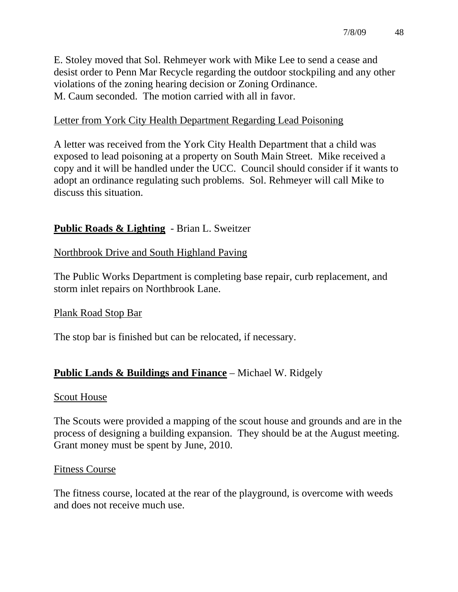E. Stoley moved that Sol. Rehmeyer work with Mike Lee to send a cease and desist order to Penn Mar Recycle regarding the outdoor stockpiling and any other violations of the zoning hearing decision or Zoning Ordinance. M. Caum seconded. The motion carried with all in favor.

# Letter from York City Health Department Regarding Lead Poisoning

A letter was received from the York City Health Department that a child was exposed to lead poisoning at a property on South Main Street. Mike received a copy and it will be handled under the UCC. Council should consider if it wants to adopt an ordinance regulating such problems. Sol. Rehmeyer will call Mike to discuss this situation.

# **Public Roads & Lighting** - Brian L. Sweitzer

### Northbrook Drive and South Highland Paving

The Public Works Department is completing base repair, curb replacement, and storm inlet repairs on Northbrook Lane.

### Plank Road Stop Bar

The stop bar is finished but can be relocated, if necessary.

### **Public Lands & Buildings and Finance** – Michael W. Ridgely

#### Scout House

The Scouts were provided a mapping of the scout house and grounds and are in the process of designing a building expansion. They should be at the August meeting. Grant money must be spent by June, 2010.

#### Fitness Course

The fitness course, located at the rear of the playground, is overcome with weeds and does not receive much use.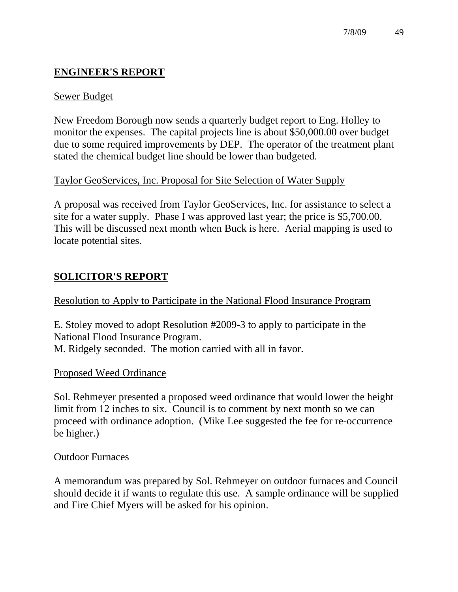# **ENGINEER'S REPORT**

### Sewer Budget

New Freedom Borough now sends a quarterly budget report to Eng. Holley to monitor the expenses. The capital projects line is about \$50,000.00 over budget due to some required improvements by DEP. The operator of the treatment plant stated the chemical budget line should be lower than budgeted.

### Taylor GeoServices, Inc. Proposal for Site Selection of Water Supply

A proposal was received from Taylor GeoServices, Inc. for assistance to select a site for a water supply. Phase I was approved last year; the price is \$5,700.00. This will be discussed next month when Buck is here. Aerial mapping is used to locate potential sites.

# **SOLICITOR'S REPORT**

Resolution to Apply to Participate in the National Flood Insurance Program

E. Stoley moved to adopt Resolution #2009-3 to apply to participate in the National Flood Insurance Program. M. Ridgely seconded. The motion carried with all in favor.

### Proposed Weed Ordinance

Sol. Rehmeyer presented a proposed weed ordinance that would lower the height limit from 12 inches to six. Council is to comment by next month so we can proceed with ordinance adoption. (Mike Lee suggested the fee for re-occurrence be higher.)

### Outdoor Furnaces

A memorandum was prepared by Sol. Rehmeyer on outdoor furnaces and Council should decide it if wants to regulate this use. A sample ordinance will be supplied and Fire Chief Myers will be asked for his opinion.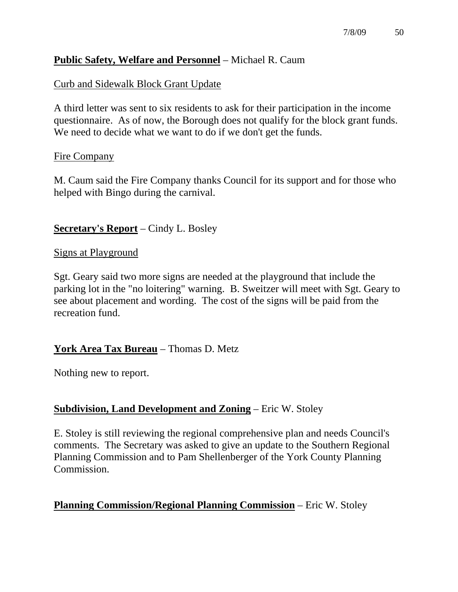# **Public Safety, Welfare and Personnel** – Michael R. Caum

### Curb and Sidewalk Block Grant Update

A third letter was sent to six residents to ask for their participation in the income questionnaire. As of now, the Borough does not qualify for the block grant funds. We need to decide what we want to do if we don't get the funds.

#### Fire Company

M. Caum said the Fire Company thanks Council for its support and for those who helped with Bingo during the carnival.

#### **Secretary's Report** – Cindy L. Bosley

#### Signs at Playground

Sgt. Geary said two more signs are needed at the playground that include the parking lot in the "no loitering" warning. B. Sweitzer will meet with Sgt. Geary to see about placement and wording. The cost of the signs will be paid from the recreation fund.

### **York Area Tax Bureau** – Thomas D. Metz

Nothing new to report.

### **Subdivision, Land Development and Zoning** – Eric W. Stoley

E. Stoley is still reviewing the regional comprehensive plan and needs Council's comments. The Secretary was asked to give an update to the Southern Regional Planning Commission and to Pam Shellenberger of the York County Planning Commission.

### **Planning Commission/Regional Planning Commission** – Eric W. Stoley